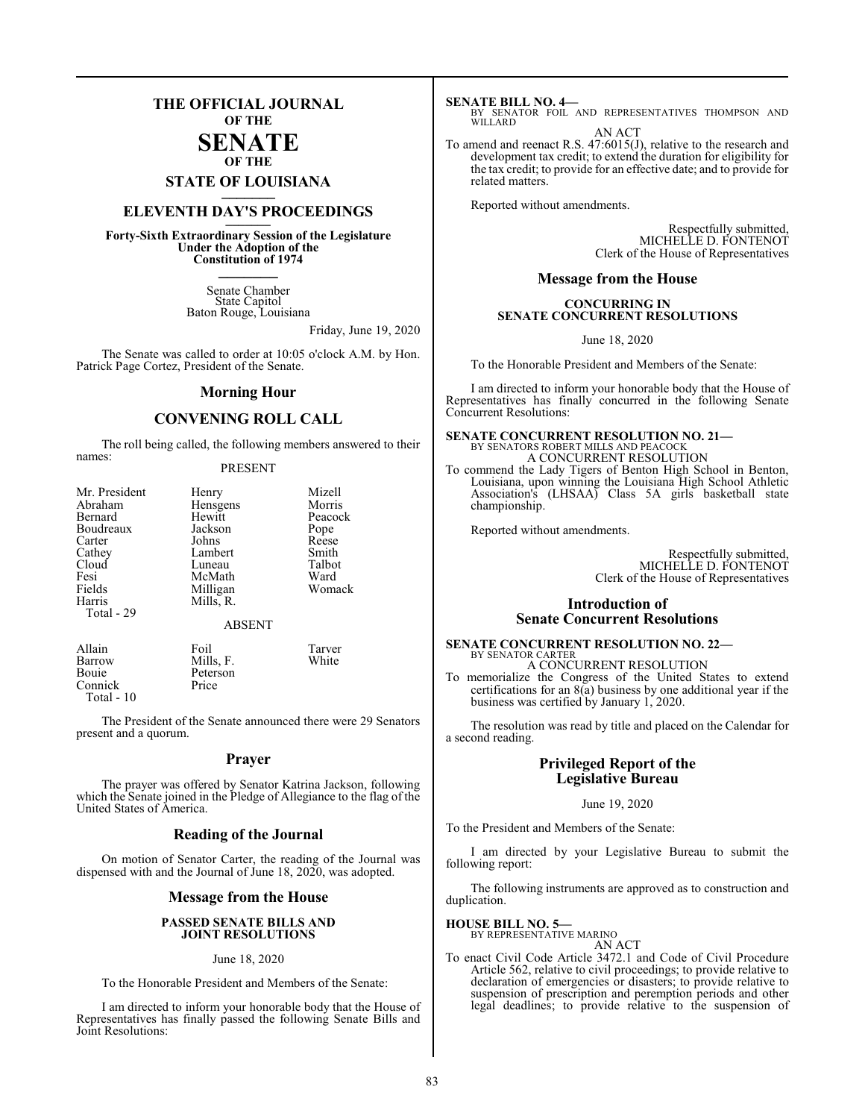### **THE OFFICIAL JOURNAL OF THE**

### **SENATE OF THE**

**STATE OF LOUISIANA \_\_\_\_\_\_\_**

### **ELEVENTH DAY'S PROCEEDINGS \_\_\_\_\_\_\_**

**Forty-Sixth Extraordinary Session of the Legislature Under the Adoption of the Constitution of 1974 \_\_\_\_\_\_\_**

> Senate Chamber State Capitol Baton Rouge, Louisiana

> > Friday, June 19, 2020

The Senate was called to order at 10:05 o'clock A.M. by Hon. Patrick Page Cortez, President of the Senate.

### **Morning Hour**

### **CONVENING ROLL CALL**

The roll being called, the following members answered to their names:

### PRESENT

| Mr. President | Henry         | Mizell  |
|---------------|---------------|---------|
| Abraham       | Hensgens      | Morris  |
| Bernard       | Hewitt        | Peacock |
| Boudreaux     | Jackson       | Pope    |
| Carter        | Johns         | Reese   |
| Cathey        | Lambert       | Smith   |
| Cloud         | Luneau        | Talbot  |
| Fesi          | McMath        | Ward    |
| Fields        | Milligan      | Womack  |
| Harris        | Mills, R.     |         |
| Total - 29    |               |         |
|               | <b>ABSENT</b> |         |
| Allain        | Foil          | Tarver  |
| Barrow        | Mills, F.     | White   |

Bouie Peterson<br>Connick Price

Connick Total - 10

The President of the Senate announced there were 29 Senators present and a quorum.

### **Prayer**

The prayer was offered by Senator Katrina Jackson, following which the Senate joined in the Pledge of Allegiance to the flag of the United States of America.

### **Reading of the Journal**

On motion of Senator Carter, the reading of the Journal was dispensed with and the Journal of June 18, 2020, was adopted.

### **Message from the House**

### **PASSED SENATE BILLS AND JOINT RESOLUTIONS**

### June 18, 2020

To the Honorable President and Members of the Senate:

I am directed to inform your honorable body that the House of Representatives has finally passed the following Senate Bills and Joint Resolutions:

**SENATE BILL NO. 4—**<br>BY SENATOR FOIL AND REPRESENTATIVES THOMPSON AND WILLARD

AN ACT

To amend and reenact R.S. 47:6015(J), relative to the research and development tax credit; to extend the duration for eligibility for the tax credit; to provide for an effective date; and to provide for related matters.

Reported without amendments.

Respectfully submitted, MICHELLE D. FONTENOT Clerk of the House of Representatives

### **Message from the House**

### **CONCURRING IN SENATE CONCURRENT RESOLUTIONS**

June 18, 2020

To the Honorable President and Members of the Senate:

I am directed to inform your honorable body that the House of Representatives has finally concurred in the following Senate Concurrent Resolutions:

### **SENATE CONCURRENT RESOLUTION NO. 21—** BY SENATORS ROBERT MILLS AND PEACOCK A CONCURRENT RESOLUTION

To commend the Lady Tigers of Benton High School in Benton, Louisiana, upon winning the Louisiana High School Athletic Association's (LHSAA) Class 5A girls basketball state championship.

Reported without amendments.

Respectfully submitted, MICHELLE D. FONTENOT Clerk of the House of Representatives

### **Introduction of Senate Concurrent Resolutions**

#### **SENATE CONCURRENT RESOLUTION NO. 22—** BY SENATOR CARTER

A CONCURRENT RESOLUTION

To memorialize the Congress of the United States to extend certifications for an  $8(a)$  business by one additional year if the business was certified by January 1, 2020.

The resolution was read by title and placed on the Calendar for a second reading.

### **Privileged Report of the Legislative Bureau**

### June 19, 2020

To the President and Members of the Senate:

I am directed by your Legislative Bureau to submit the following report:

The following instruments are approved as to construction and duplication.

### **HOUSE BILL NO. 5—**

BY REPRESENTATIVE MARINO AN ACT

To enact Civil Code Article 3472.1 and Code of Civil Procedure Article 562, relative to civil proceedings; to provide relative to declaration of emergencies or disasters; to provide relative to suspension of prescription and peremption periods and other legal deadlines; to provide relative to the suspension of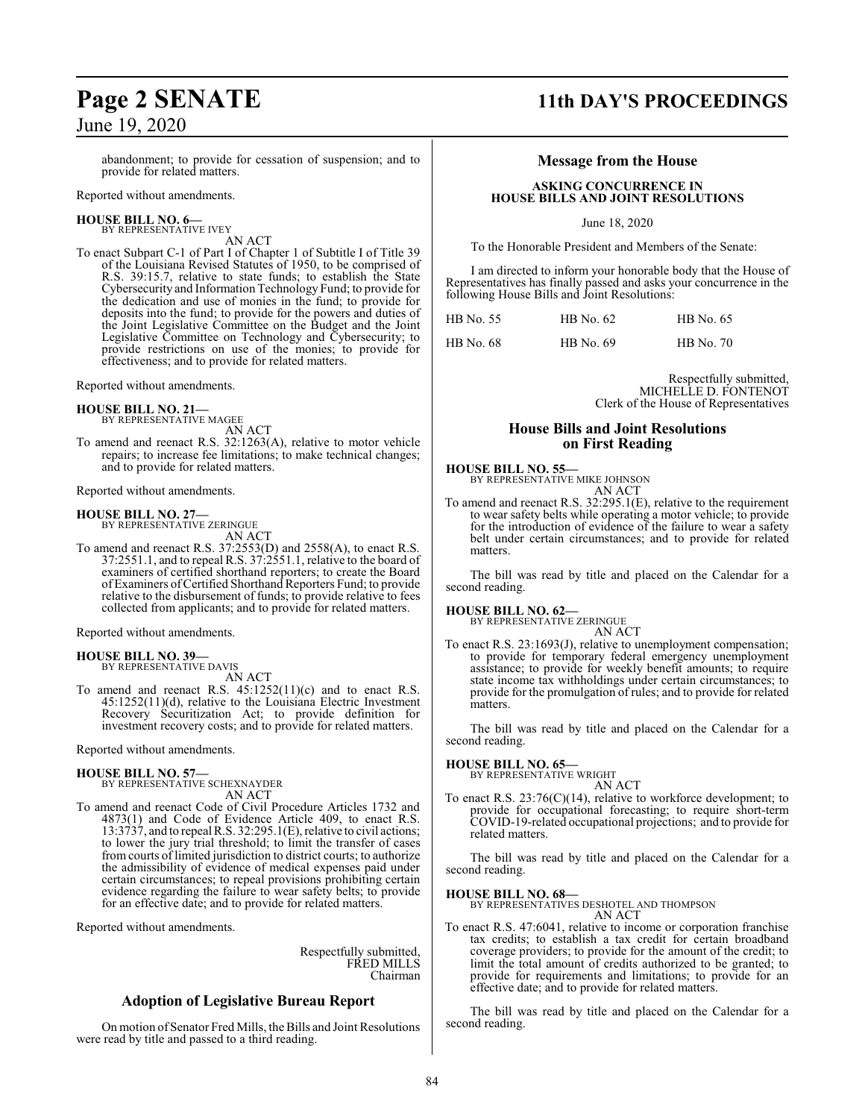# June 19, 2020

abandonment; to provide for cessation of suspension; and to provide for related matters.

Reported without amendments.

### **HOUSE BILL NO. 6—** BY REPRESENTATIVE IVEY

AN ACT

To enact Subpart C-1 of Part I of Chapter 1 of Subtitle I of Title 39 of the Louisiana Revised Statutes of 1950, to be comprised of R.S. 39:15.7, relative to state funds; to establish the State Cybersecurity and Information Technology Fund; to provide for the dedication and use of monies in the fund; to provide for deposits into the fund; to provide for the powers and duties of the Joint Legislative Committee on the Budget and the Joint Legislative Committee on Technology and Cybersecurity; to provide restrictions on use of the monies; to provide for effectiveness; and to provide for related matters.

Reported without amendments.

**HOUSE BILL NO. 21—** BY REPRESENTATIVE MAGEE

AN ACT

To amend and reenact R.S. 32:1263(A), relative to motor vehicle repairs; to increase fee limitations; to make technical changes; and to provide for related matters.

Reported without amendments.

### **HOUSE BILL NO. 27—**

BY REPRESENTATIVE ZERINGUE AN ACT

To amend and reenact R.S. 37:2553(D) and 2558(A), to enact R.S. 37:2551.1, and to repeal R.S. 37:2551.1, relative to the board of examiners of certified shorthand reporters; to create the Board of Examiners ofCertified Shorthand Reporters Fund; to provide relative to the disbursement of funds; to provide relative to fees collected from applicants; and to provide for related matters.

Reported without amendments.

### **HOUSE BILL NO. 39—**

BY REPRESENTATIVE DAVIS AN ACT

To amend and reenact R.S. 45:1252(11)(c) and to enact R.S. 45:1252(11)(d), relative to the Louisiana Electric Investment Recovery Securitization Act; to provide definition for investment recovery costs; and to provide for related matters.

Reported without amendments.

### **HOUSE BILL NO. 57—**

BY REPRESENTATIVE SCHEXNAYDER AN ACT

To amend and reenact Code of Civil Procedure Articles 1732 and 4873(1) and Code of Evidence Article 409, to enact R.S. 13:3737, and to repeal R.S. 32:295.1(E), relative to civil actions; to lower the jury trial threshold; to limit the transfer of cases fromcourts of limited jurisdiction to district courts; to authorize the admissibility of evidence of medical expenses paid under certain circumstances; to repeal provisions prohibiting certain evidence regarding the failure to wear safety belts; to provide for an effective date; and to provide for related matters.

Reported without amendments.

Respectfully submitted, FRED MILLS Chairman

### **Adoption of Legislative Bureau Report**

On motion of Senator Fred Mills, the Bills and Joint Resolutions were read by title and passed to a third reading.

### **Page 2 SENATE 11th DAY'S PROCEEDINGS**

### **Message from the House**

### **ASKING CONCURRENCE IN HOUSE BILLS AND JOINT RESOLUTIONS**

June 18, 2020

To the Honorable President and Members of the Senate:

I am directed to inform your honorable body that the House of Representatives has finally passed and asks your concurrence in the following House Bills and Joint Resolutions:

| HB No. 55        | HB No. 62 | HB No. 65        |
|------------------|-----------|------------------|
| <b>HB</b> No. 68 | HB No. 69 | <b>HB</b> No. 70 |

Respectfully submitted, MICHELLE D. FONTENOT Clerk of the House of Representatives

### **House Bills and Joint Resolutions on First Reading**

**HOUSE BILL NO. 55—**

BY REPRESENTATIVE MIKE JOHNSON AN ACT

To amend and reenact R.S. 32:295.1(E), relative to the requirement to wear safety belts while operating a motor vehicle; to provide for the introduction of evidence of the failure to wear a safety belt under certain circumstances; and to provide for related matters.

The bill was read by title and placed on the Calendar for a second reading.

**HOUSE BILL NO. 62—**

BY REPRESENTATIVE ZERINGUE AN ACT

To enact R.S. 23:1693(J), relative to unemployment compensation; to provide for temporary federal emergency unemployment assistance; to provide for weekly benefit amounts; to require state income tax withholdings under certain circumstances; to provide for the promulgation of rules; and to provide for related matters.

The bill was read by title and placed on the Calendar for a second reading.

### **HOUSE BILL NO. 65—**

BY REPRESENTATIVE WRIGHT AN ACT

To enact R.S. 23:76(C)(14), relative to workforce development; to provide for occupational forecasting; to require short-term COVID-19-related occupational projections; and to provide for related matters.

The bill was read by title and placed on the Calendar for a second reading.

**HOUSE BILL NO. 68—**

BY REPRESENTATIVES DESHOTEL AND THOMPSON AN ACT

To enact R.S. 47:6041, relative to income or corporation franchise tax credits; to establish a tax credit for certain broadband coverage providers; to provide for the amount of the credit; to limit the total amount of credits authorized to be granted; to provide for requirements and limitations; to provide for an effective date; and to provide for related matters.

The bill was read by title and placed on the Calendar for a second reading.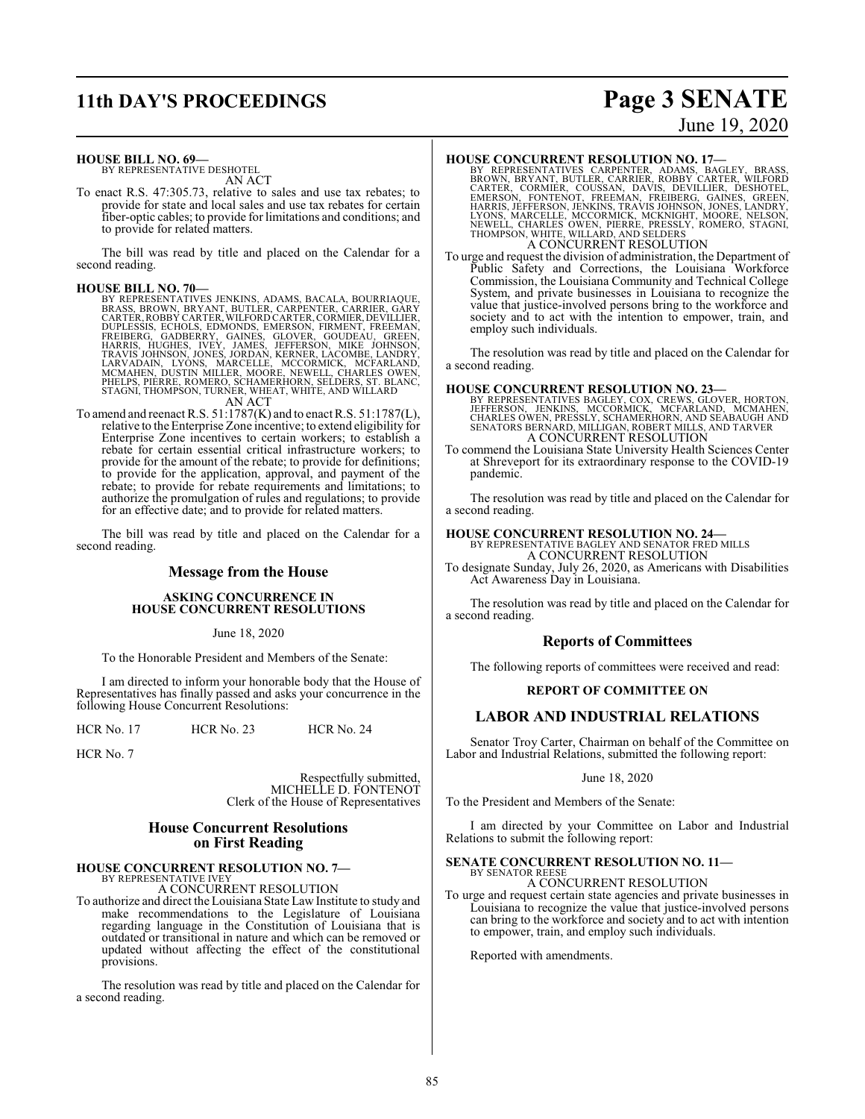## **11th DAY'S PROCEEDINGS Page 3 SENATE**

# June 19, 2020

### **HOUSE BILL NO. 69—**

BY REPRESENTATIVE DESHOTEL AN ACT

To enact R.S. 47:305.73, relative to sales and use tax rebates; to provide for state and local sales and use tax rebates for certain fiber-optic cables; to provide for limitations and conditions; and to provide for related matters.

The bill was read by title and placed on the Calendar for a second reading.

- HOUSE BILL NO. 70—<br>BY REPRESENTATIVES JENKINS, ADAMS, BACALA, BOURRIAQUE,<br>BRASS, BROWN, BRYANT, BUTLER, CARPENTER, CARRIER, GARY<br>CARTER, ROBBY CARTER, WILFORD CARTER, CORMIER, DEVILLIER,<br>DUPLESSIS, ECHOLS, EDMONDS, EMERSON AN ACT
- To amend and reenact R.S. 51:1787(K) and to enact R.S. 51:1787(L), relative to the Enterprise Zone incentive; to extend eligibility for Enterprise Zone incentives to certain workers; to establish a rebate for certain essential critical infrastructure workers; to provide for the amount of the rebate; to provide for definitions; to provide for the application, approval, and payment of the rebate; to provide for rebate requirements and limitations; to authorize the promulgation of rules and regulations; to provide for an effective date; and to provide for related matters.

The bill was read by title and placed on the Calendar for a second reading.

### **Message from the House**

### **ASKING CONCURRENCE IN HOUSE CONCURRENT RESOLUTIONS**

June 18, 2020

To the Honorable President and Members of the Senate:

I am directed to inform your honorable body that the House of Representatives has finally passed and asks your concurrence in the following House Concurrent Resolutions:

HCR No. 17 HCR No. 23 HCR No. 24

HCR No. 7

Respectfully submitted, MICHELLE D. FONTENOT Clerk of the House of Representatives

### **House Concurrent Resolutions on First Reading**

#### **HOUSE CONCURRENT RESOLUTION NO. 7—** BY REPRESENTATIVE IVE'

A CONCURRENT RESOLUTION

To authorize and direct the Louisiana State Law Institute to study and make recommendations to the Legislature of Louisiana regarding language in the Constitution of Louisiana that is outdated or transitional in nature and which can be removed or updated without affecting the effect of the constitutional provisions.

The resolution was read by title and placed on the Calendar for a second reading.

### **HOUSE CONCURRENT RESOLUTION NO. 17—**

BY REPRESENTATIVES CARPENTER, ADAMS, BAGLEY, BRASS, BROWN, BRYANT, BUTLER, ROBBY CARTER, WILFORD<br>CARTER, CORMER, COUSSAN, DAVIS, DEVILLIER, DESIGNTER, CORNER, CORMER, COUSSAN, DAVIS, DEVILLIER, DESIGNTEL,<br>EMERSON, FONTENOT A CONCURRENT RESOLUTION

To urge and request the division of administration, the Department of Public Safety and Corrections, the Louisiana Workforce Commission, the Louisiana Community and Technical College System, and private businesses in Louisiana to recognize the value that justice-involved persons bring to the workforce and society and to act with the intention to empower, train, and employ such individuals.

The resolution was read by title and placed on the Calendar for a second reading.

### **HOUSE CONCURRENT RESOLUTION NO. 23—**

BY REPRESENTATIVES BAGLEY, COX, CREWS, GLOVER, HORTON,<br>JEFFERSON, JENKINS, MCCORMICK, MCFARLAND, MCMAHEN,<br>CHARLES OWEN, PRESSLY, SCHAMERHORN, AND SEABAUGH AND<br>SENATORS BERNARD, MILLIGAN, ROBERT MILLS, AND TARVER<br>A CONCURRE

To commend the Louisiana State University Health Sciences Center at Shreveport for its extraordinary response to the COVID-19 pandemic.

The resolution was read by title and placed on the Calendar for a second reading.

**HOUSE CONCURRENT RESOLUTION NO. 24—**

BY REPRESENTATIVE BAGLEY AND SENATOR FRED MILLS A CONCURRENT RESOLUTION

To designate Sunday, July 26, 2020, as Americans with Disabilities Act Awareness Day in Louisiana.

The resolution was read by title and placed on the Calendar for a second reading.

### **Reports of Committees**

The following reports of committees were received and read:

### **REPORT OF COMMITTEE ON**

### **LABOR AND INDUSTRIAL RELATIONS**

Senator Troy Carter, Chairman on behalf of the Committee on Labor and Industrial Relations, submitted the following report:

### June 18, 2020

To the President and Members of the Senate:

I am directed by your Committee on Labor and Industrial Relations to submit the following report:

#### **SENATE CONCURRENT RESOLUTION NO. 11—** BY SENATOR REESE

A CONCURRENT RESOLUTION

To urge and request certain state agencies and private businesses in Louisiana to recognize the value that justice-involved persons can bring to the workforce and society and to act with intention to empower, train, and employ such individuals.

Reported with amendments.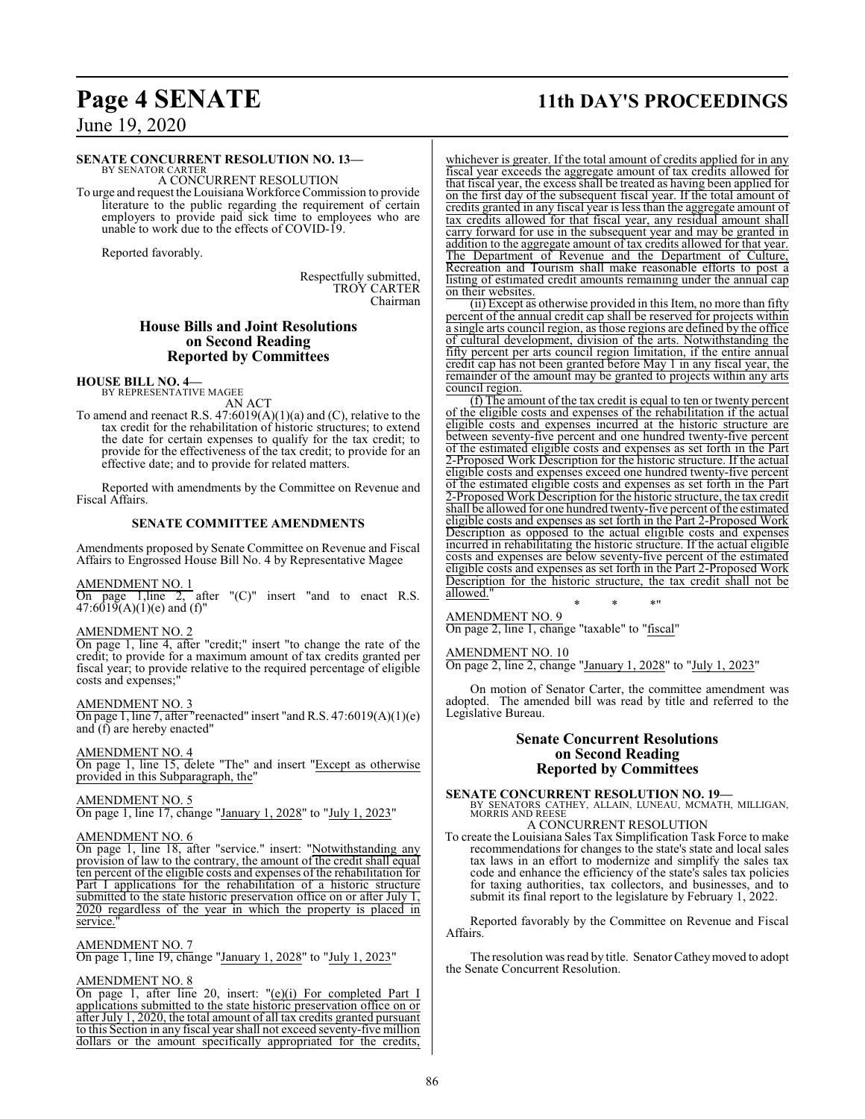## **Page 4 SENATE 11th DAY'S PROCEEDINGS**

June 19, 2020

### **SENATE CONCURRENT RESOLUTION NO. 13—**

BY SENATOR CARTER A CONCURRENT RESOLUTION

To urge and request the LouisianaWorkforce Commission to provide literature to the public regarding the requirement of certain employers to provide paid sick time to employees who are unable to work due to the effects of COVID-19.

Reported favorably.

Respectfully submitted, TROY CARTER Chairman

### **House Bills and Joint Resolutions on Second Reading Reported by Committees**

### **HOUSE BILL NO. 4—** BY REPRESENTATIVE MAGEE

AN ACT

To amend and reenact R.S.  $47:6019(A)(1)(a)$  and (C), relative to the tax credit for the rehabilitation of historic structures; to extend the date for certain expenses to qualify for the tax credit; to provide for the effectiveness of the tax credit; to provide for an effective date; and to provide for related matters.

Reported with amendments by the Committee on Revenue and Fiscal Affairs.

### **SENATE COMMITTEE AMENDMENTS**

Amendments proposed by Senate Committee on Revenue and Fiscal Affairs to Engrossed House Bill No. 4 by Representative Magee

### AMENDMENT NO. 1

On page 1, line 2, after " $(C)$ " insert "and to enact R.S.  $47:6019(A)(1)(e)$  and (f)"

### AMENDMENT NO. 2

On page 1, line 4, after "credit;" insert "to change the rate of the credit; to provide for a maximum amount of tax credits granted per fiscal year; to provide relative to the required percentage of eligible costs and expenses;"

### AMENDMENT NO. 3

On page 1, line 7, after "reenacted" insert "and R.S. 47:6019(A)(1)(e) and (f) are hereby enacted"

### AMENDMENT NO. 4

On page 1, line 15, delete "The" and insert "Except as otherwise provided in this Subparagraph, the"

### AMENDMENT NO. 5

On page 1, line 17, change "January 1, 2028" to "July 1, 2023"

### AMENDMENT NO. 6

On page 1, line 18, after "service." insert: "Notwithstanding any provision of law to the contrary, the amount of the credit shall equal ten percent of the eligible costs and expenses of the rehabilitation for Part I applications for the rehabilitation of a historic structure submitted to the state historic preservation office on or after July 1, 2020 regardless of the year in which the property is placed in service.

### AMENDMENT NO. 7

On page 1, line 19, change "January 1, 2028" to "July 1, 2023"

### AMENDMENT NO. 8

On page 1, after line 20, insert: "(e)(i) For completed Part I applications submitted to the state historic preservation office on or after July 1, 2020, the total amount of all tax credits granted pursuant to this Section in any fiscal year shall not exceed seventy-five million dollars or the amount specifically appropriated for the credits,

whichever is greater. If the total amount of credits applied for in any fiscal year exceeds the aggregate amount of tax credits allowed for that fiscal year, the excess shall be treated as having been applied for on the first day of the subsequent fiscal year. If the total amount of credits granted in any fiscal year is less than the aggregate amount of tax credits allowed for that fiscal year, any residual amount shall carry forward for use in the subsequent year and may be granted in addition to the aggregate amount of tax credits allowed for that year. The Department of Revenue and the Department of Culture, Recreation and Tourism shall make reasonable efforts to post a listing of estimated credit amounts remaining under the annual cap on their websites.

(ii) Except as otherwise provided in this Item, no more than fifty percent of the annual credit cap shall be reserved for projects within a single arts council region, as those regions are defined by the office of cultural development, division of the arts. Notwithstanding the fifty percent per arts council region limitation, if the entire annual credit cap has not been granted before May 1 in any fiscal year, the remainder of the amount may be granted to projects within any arts council region.

(f) The amount of the tax credit is equal to ten or twenty percent of the eligible costs and expenses of the rehabilitation if the actual eligible costs and expenses incurred at the historic structure are between seventy-five percent and one hundred twenty-five percent of the estimated eligible costs and expenses as set forth in the Part 2-Proposed Work Description for the historic structure. If the actual eligible costs and expenses exceed one hundred twenty-five percent of the estimated eligible costs and expenses as set forth in the Part 2-Proposed Work Description for the historic structure, the tax credit shall be allowed for one hundred twenty-five percent of the estimated eligible costs and expenses as set forth in the Part 2-Proposed Work Description as opposed to the actual eligible costs and expenses incurred in rehabilitating the historic structure. If the actual eligible costs and expenses are below seventy-five percent of the estimated eligible costs and expenses as set forth in the Part 2-Proposed Work Description for the historic structure, the tax credit shall not be allowed."

\* \* \*" AMENDMENT NO. 9 On page 2, line 1, change "taxable" to "fiscal"

#### AMENDMENT NO. 10

On page 2, line 2, change "January 1, 2028" to "July 1, 2023"

On motion of Senator Carter, the committee amendment was adopted. The amended bill was read by title and referred to the Legislative Bureau.

### **Senate Concurrent Resolutions on Second Reading Reported by Committees**

**SENATE CONCURRENT RESOLUTION NO. 19—**<br>BY SENATORS CATHEY, ALLAIN, LUNEAU, MCMATH, MILLIGAN, MORRIS AND REESE

### A CONCURRENT RESOLUTION

To create the Louisiana Sales Tax Simplification Task Force to make recommendations for changes to the state's state and local sales tax laws in an effort to modernize and simplify the sales tax code and enhance the efficiency of the state's sales tax policies for taxing authorities, tax collectors, and businesses, and to submit its final report to the legislature by February 1, 2022.

Reported favorably by the Committee on Revenue and Fiscal Affairs.

The resolution was read by title. Senator Catheymoved to adopt the Senate Concurrent Resolution.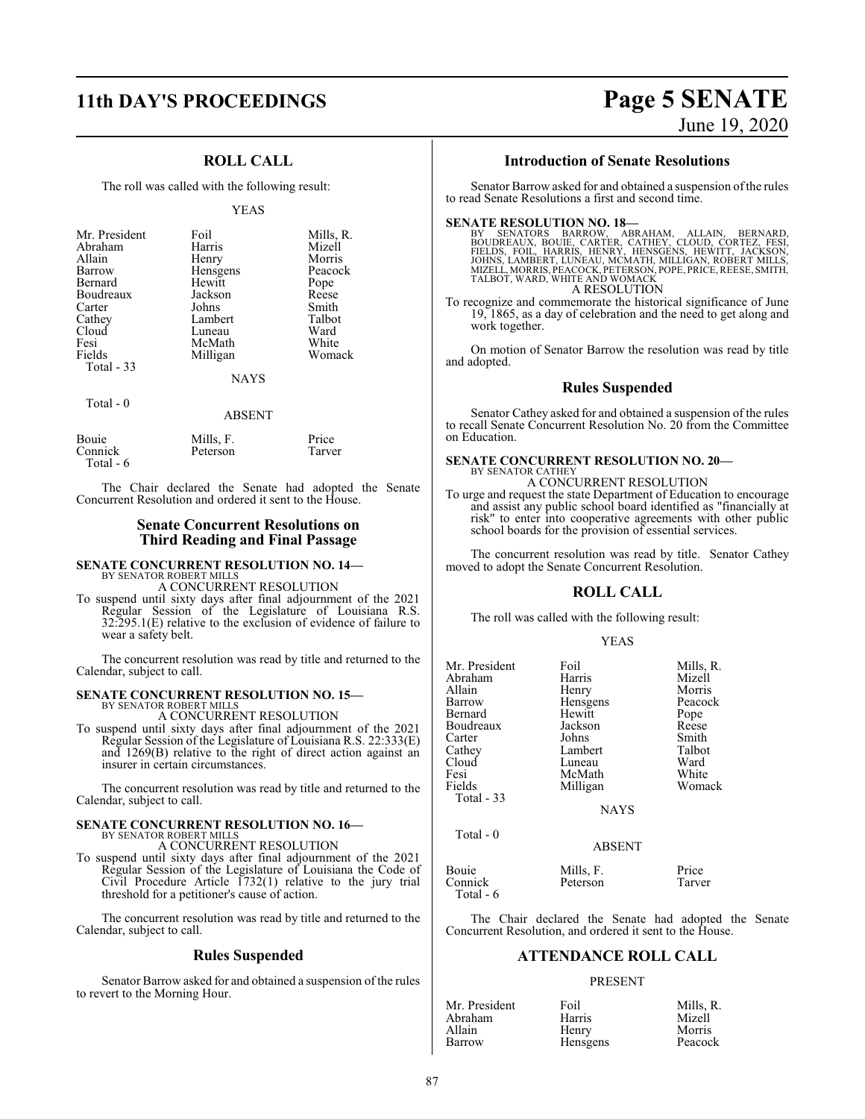### **11th DAY'S PROCEEDINGS Page 5 SENATE**

### **ROLL CALL**

The roll was called with the following result:

#### YEAS

| Mr. President<br>Abraham<br>Allain<br>Barrow<br>Bernard<br>Boudreaux<br>Carter<br>Cathey<br>Cloud<br>Fesi<br>Fields<br>Total $-33$ | Foil<br>Harris<br>Henry<br>Hensgens<br>Hewitt<br>Jackson<br>Johns<br>Lambert<br>Luneau<br>McMath<br>Milligan | Mills, R.<br>Mizell<br>Morris<br>Peacock<br>Pope<br>Reese<br>Smith<br>Talbot<br>Ward<br>White<br>Womack |
|------------------------------------------------------------------------------------------------------------------------------------|--------------------------------------------------------------------------------------------------------------|---------------------------------------------------------------------------------------------------------|
|                                                                                                                                    | <b>NAYS</b>                                                                                                  |                                                                                                         |
| Total $-0$                                                                                                                         |                                                                                                              |                                                                                                         |

#### ABSENT

| Bouie     | Mills, F. | Price  |
|-----------|-----------|--------|
| Connick   | Peterson  | Tarver |
| Total - 6 |           |        |

The Chair declared the Senate had adopted the Senate Concurrent Resolution and ordered it sent to the House.

### **Senate Concurrent Resolutions on Third Reading and Final Passage**

### **SENATE CONCURRENT RESOLUTION NO. 14—** BY SENATOR ROBERT MILLS A CONCURRENT RESOLUTION

To suspend until sixty days after final adjournment of the 2021 Regular Session of the Legislature of Louisiana R.S. 32:295.1(E) relative to the exclusion of evidence of failure to wear a safety belt.

The concurrent resolution was read by title and returned to the Calendar, subject to call.

### **SENATE CONCURRENT RESOLUTION NO. 15—** BY SENATOR ROBERT MILLS

A CONCURRENT RESOLUTION

To suspend until sixty days after final adjournment of the 2021 Regular Session of the Legislature of Louisiana R.S. 22:333(E) and 1269(B) relative to the right of direct action against an insurer in certain circumstances.

The concurrent resolution was read by title and returned to the Calendar, subject to call.

## **SENATE CONCURRENT RESOLUTION NO. 16—** BY SENATOR ROBERT MILLS

A CONCURRENT RESOLUTION

To suspend until sixty days after final adjournment of the 2021 Regular Session of the Legislature of Louisiana the Code of Civil Procedure Article  $1732(1)$  relative to the jury trial threshold for a petitioner's cause of action.

The concurrent resolution was read by title and returned to the Calendar, subject to call.

### **Rules Suspended**

Senator Barrow asked for and obtained a suspension of the rules to revert to the Morning Hour.

# June 19, 2020

### **Introduction of Senate Resolutions**

Senator Barrow asked for and obtained a suspension of the rules to read Senate Resolutions a first and second time.

### **SENATE RESOLUTION NO. 18—**

BY SENATORS BARROW, ABRAHAM, ALLAIN, BERNARD,<br>BOUDREAUX, BOUIE, CARTER, CATHEY, CLOUD, CORTEZ, FESI,<br>FIELDS, FOIL, HARRIS, HENRY, HENSGENS, HEWITT, JACKSON, JOHNS, LAMBERT, LUNEAU, MCMATH, MILLIGAN, ROBERT MILLS,<br>MIZELL, MORRIS, PEACOCK, PETERSON, POPE, PRICE, REESE, SMITH,<br>TALBOT, WARD, WHITE AND WOMACK A RESOLUTION

To recognize and commemorate the historical significance of June 19, 1865, as a day of celebration and the need to get along and work together.

On motion of Senator Barrow the resolution was read by title and adopted.

### **Rules Suspended**

Senator Cathey asked for and obtained a suspension of the rules to recall Senate Concurrent Resolution No. 20 from the Committee on Education.

#### **SENATE CONCURRENT RESOLUTION NO. 20—** BY SENATOR CATHEY

### A CONCURRENT RESOLUTION

To urge and request the state Department of Education to encourage and assist any public school board identified as "financially at risk" to enter into cooperative agreements with other public school boards for the provision of essential services.

The concurrent resolution was read by title. Senator Cathey moved to adopt the Senate Concurrent Resolution.

### **ROLL CALL**

The roll was called with the following result:

### YEAS

| Mr. President<br>Abraham<br>Allain<br>Barrow<br>Bernard<br>Boudreaux<br>Carter<br>Cathey<br>Cloud<br>Fesi<br>Fields<br>Total - 33 | Foil<br>Harris<br>Henry<br>Hensgens<br>Hewitt<br>Jackson<br>Johns<br>Lambert<br>Luneau<br>McMath<br>Milligan<br><b>NAYS</b> | Mills, R.<br>Mizell<br>Morris<br>Peacock<br>Pope<br>Reese<br>Smith<br>Talbot<br>Ward<br>White<br>Womack |
|-----------------------------------------------------------------------------------------------------------------------------------|-----------------------------------------------------------------------------------------------------------------------------|---------------------------------------------------------------------------------------------------------|
| Total - 0                                                                                                                         | <b>ABSENT</b>                                                                                                               |                                                                                                         |
| Bouie<br>Connick<br>Total - 6                                                                                                     | Mills, F.<br>Peterson                                                                                                       | Price<br>Tarver                                                                                         |

The Chair declared the Senate had adopted the Senate Concurrent Resolution, and ordered it sent to the House.

### **ATTENDANCE ROLL CALL**

### PRESENT

| Mr. President | Foil     | Mills, R. |
|---------------|----------|-----------|
| Abraham       | Harris   | Mizell    |
| Allain        | Henry    | Morris    |
| Barrow        | Hensgens | Peacock   |